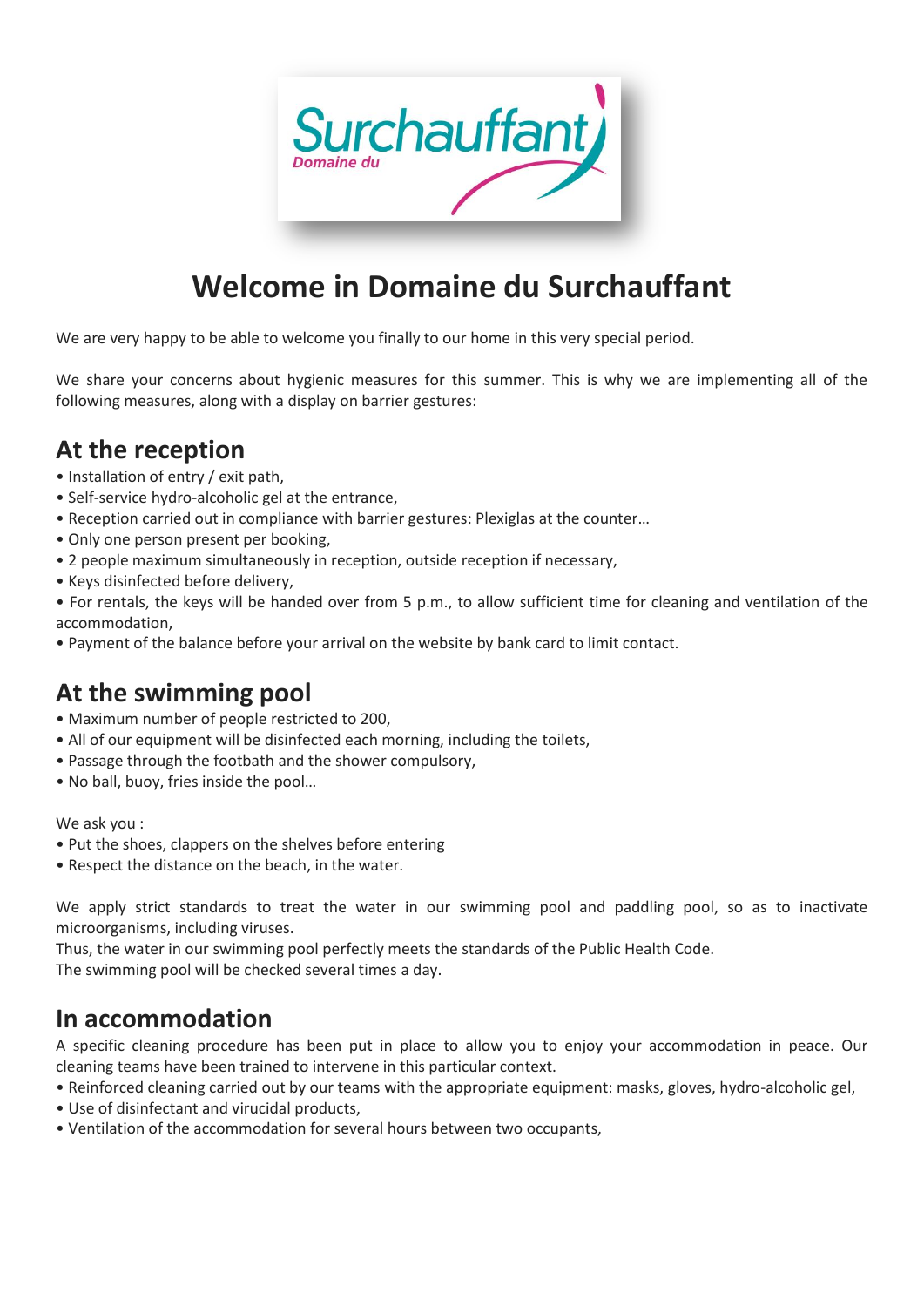

# **Welcome in Domaine du Surchauffant**

We are very happy to be able to welcome you finally to our home in this very special period.

We share your concerns about hygienic measures for this summer. This is why we are implementing all of the following measures, along with a display on barrier gestures:

#### **At the reception**

- Installation of entry / exit path,
- Self-service hydro-alcoholic gel at the entrance,
- Reception carried out in compliance with barrier gestures: Plexiglas at the counter…
- Only one person present per booking,
- 2 people maximum simultaneously in reception, outside reception if necessary,
- Keys disinfected before delivery,

• For rentals, the keys will be handed over from 5 p.m., to allow sufficient time for cleaning and ventilation of the accommodation,

• Payment of the balance before your arrival on the website by bank card to limit contact.

## **At the swimming pool**

- Maximum number of people restricted to 200,
- All of our equipment will be disinfected each morning, including the toilets,
- Passage through the footbath and the shower compulsory,
- No ball, buoy, fries inside the pool…

We ask you :

- Put the shoes, clappers on the shelves before entering
- Respect the distance on the beach, in the water.

We apply strict standards to treat the water in our swimming pool and paddling pool, so as to inactivate microorganisms, including viruses.

Thus, the water in our swimming pool perfectly meets the standards of the Public Health Code. The swimming pool will be checked several times a day.

#### **In accommodation**

A specific cleaning procedure has been put in place to allow you to enjoy your accommodation in peace. Our cleaning teams have been trained to intervene in this particular context.

- Reinforced cleaning carried out by our teams with the appropriate equipment: masks, gloves, hydro-alcoholic gel,
- Use of disinfectant and virucidal products,
- Ventilation of the accommodation for several hours between two occupants,